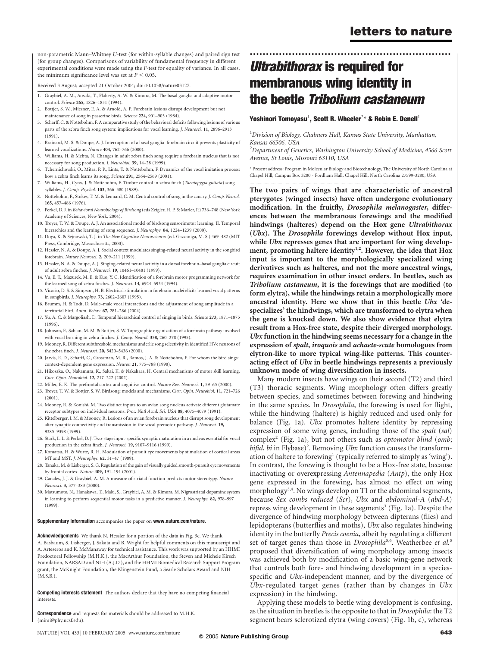non-parametric Mann–Whitney U-test (for within-syllable changes) and paired sign test (for group changes). Comparisons of variability of fundamental frequency in different experimental conditions were made using the F-test for equality of variance. In all cases, the minimum significance level was set at  $P < 0.05$ .

Received 3 August; accepted 21 October 2004; doi:10.1038/nature03127.

- 1. Graybiel, A. M., Aosaki, T., Flaherty, A. W. & Kimura, M. The basal ganglia and adaptive motor control. Science 265, 1826–1831 (1994).
- 2. Bottjer, S. W., Miesner, E. A. & Arnold, A. P. Forebrain lesions disrupt development but not maintenance of song in passerine birds. Science 224, 901–903 (1984).
- 3. Scharff, C. & Nottebohm, F. A comparative study of the behavioral deficits following lesions of various parts of the zebra finch song system: implications for vocal learning. J. Neurosci. 11, 2896–2913 (1991).
- 4. Brainard, M. S. & Doupe, A. J. Interruption of a basal ganglia–forebrain circuit prevents plasticity of learned vocalizations. Nature 404, 762–766 (2000).
- 5. Williams, H. & Mehta, N. Changes in adult zebra finch song require a forebrain nucleus that is not necessary for song production. J. Neurobiol. 39, 14–28 (1999).
- 6. Tchernichovski, O., Mitra, P. P., Lints, T. & Nottebohm, F. Dynamics of the vocal imitation process: how a zebra finch learns its song. Science 291, 2564–2569 (2001).
- 7. Williams, H., Cynx, J. & Nottebohm, F. Timbre control in zebra finch (Taeniopygia guttata) song syllables. J. Comp. Psychol. 103, 366–380 (1989).
- 8. Nottebohm, F., Stokes, T. M. & Leonard, C. M. Central control of song in the canary. J. Comp. Neurol. 165, 457–486 (1976).
- 9. Perkel, D. J. in Behavioral Neurobiology of Birdsong (eds Zeigler, H. P. & Marler, P.) 736–748 (New York Academy of Sciences, New York, 2004).
- 10. Troyer, T. W. & Doupe, A. J. An associational model of birdsong sensorimotor learning. II. Temporal hierarchies and the learning of song sequence. J. Neurophys. 84, 1224–1239 (2000).
- 11. Doya, K. & Sejnowski, T. J. in The New Cognitive Neurosciences (ed. Gazzaniga, M. S.) 469–482 (MIT Press, Cambridge, Massachusetts, 2000).
- 12. Hessler, N. A. & Doupe, A. J. Social context modulates singing-related neural activity in the songbird forebrain. Nature Neurosci. 2, 209–211 (1999).
- 13. Hessler, N. A. & Doupe, A. J. Singing-related neural activity in a dorsal forebrain–basal ganglia circuit of adult zebra finches. J. Neurosci. 19, 10461–10481 (1999).
- 14. Vu, E. T., Mazurek, M. E. & Kuo, Y. C. Identification of a forebrain motor programming network for the learned song of zebra finches. J. Neurosci. 14, 6924–6934 (1994).
- 15. Vicario, D. S. & Simpson, H. B. Electrical stimulation in forebrain nuclei elicits learned vocal patterns in songbirds. J. Neurophys. 73, 2602–2607 (1995).
- 16. Brumm, H. & Todt, D. Male–male vocal interactions and the adjustment of song amplitude in a territorial bird. Anim. Behav. 67, 281–286 (2004).
- 17. Yu, A. C. & Margoliash, D. Temporal hierarchical control of singing in birds. Science 273, 1871–1875 (1996).
- 18. Johnson, F., Sablan, M. M. & Bottjer, S. W. Topographic organization of a forebrain pathway involved with vocal learning in zebra finches. J. Comp. Neurol. 358, 260–278 (1995).
- 19. Mooney, R. Different subthreshold mechanisms underlie song selectivity in identified HVc neurons of the zebra finch. J. Neurosci. 20, 5420–5436 (2000).
- 20. Jarvis, E. D., Scharff, C., Grossman, M. R., Ramos, J. A. & Nottebohm, F. For whom the bird sings: context-dependent gene expression. Neuron 21, 775–788 (1998).
- 21. Hikosaka, O., Nakamura, K., Sakai, K. & Nakahara, H. Central mechanisms of motor skill learning. Curr. Opin. Neurobiol. 12, 217–222 (2002).
- 22. Miller, E. K. The prefrontal cortex and cognitive control. Nature Rev. Neurosci. 1, 59–65 (2000).
- 23. Troyer, T. W. & Bottjer, S. W. Birdsong: models and mechanisms. Curr. Opin. Neurobiol. 11, 721–726 (2001).
- 24. Mooney, R. & Konishi, M. Two distinct inputs to an avian song nucleus activate different glutamate receptor subtypes on individual neurons. Proc. Natl Acad. Sci. USA 88, 4075-4079 (1991).
- 25. Kittelberger, J. M. & Mooney, R. Lesions of an avian forebrain nucleus that disrupt song development alter synaptic connectivity and transmission in the vocal premotor pathway. J. Neurosci. 19, 9385–9398 (1999).
- 26. Stark, L. L. & Perkel, D. J. Two-stage input-specific synaptic maturation in a nucleus essential for vocal production in the zebra finch. J. Neurosci. 19, 9107–9116 (1999).
- 27. Komatsu, H. & Wurtz, R. H. Modulation of pursuit eye movements by stimulation of cortical areas MT and MST. J. Neurophys. 62, 31–47 (1989).
- 28. Tanaka, M. & Lisberger, S. G. Regulation of the gain of visually guided smooth-pursuit eye movements by frontal cortex. Nature 409, 191–194 (2001).
- 29. Canales, J. J. & Graybiel, A. M. A measure of striatal function predicts motor stereotypy. Nature Neurosci. 3, 377–383 (2000).
- 30. Matsumoto, N., Hanakawa, T., Maki, S., Graybiel, A. M. & Kimura, M. Nigrostriatal dopamine system in learning to perform sequential motor tasks in a predictive manner. J. Neurophys. 82, 978–997 (1999).

#### Supplementary Information accompanies the paper on www.nature.com/nature.

Acknowledgements We thank N. Hessler for a portion of the data in Fig. 3e. We thank A. Basbaum, S. Lisberger, J. Sakata and B. Wright for helpful comments on this manuscript and A. Arteseros and K. McManaway for technical assistance. This work was supported by an HHMI Predoctoral Fellowship (M.H.K.), the MacArthur Foundation, the Steven and Michele Kirsch Foundation, NARSAD and NIH (A.J.D.), and the HHMI Biomedical Research Support Program grant, the McKnight Foundation, the Klingenstein Fund, a Searle Scholars Award and NIH (M.S.B.).

Competing interests statement The authors declare that they have no competing financial interests.

**Correspondence** and requests for materials should be addressed to M.H.K. (mimi@phy.ucsf.edu).

# Ultrabithorax is required for membranous wing identity in the beetle Tribolium castaneum

..............................................................

## Yoshinori Tomoyasu $^1$ , Scott R. Wheeler $^{2\star}$  & Robin E. Denell $^1$

<sup>1</sup>Division of Biology, Chalmers Hall, Kansas State University, Manhattan, Kansas 66506, USA

 $^{2}$ Department of Genetics, Washington University School of Medicine, 4566 Scott Avenue, St Louis, Missouri 63110, USA

\* Present address: Program in Molecular Biology and Biotechnology, The University of North Carolina at Chapel Hill, Campus Box 3280 - Fordham Hall, Chapel Hill, North Carolina 27599-3280, USA .............................................................................................................................................................................

The two pairs of wings that are characteristic of ancestral pterygotes (winged insects) have often undergone evolutionary modification. In the fruitfly, Drosophila melanogaster, differences between the membranous forewings and the modified hindwings (halteres) depend on the Hox gene Ultrabithorax (Ubx). The Drosophila forewings develop without Hox input, while Ubx represses genes that are important for wing development, promoting haltere identity<sup>1,2</sup>. However, the idea that Hox input is important to the morphologically specialized wing derivatives such as halteres, and not the more ancestral wings, requires examination in other insect orders. In beetles, such as Tribolium castaneum, it is the forewings that are modified (to form elytra), while the hindwings retain a morphologically more ancestral identity. Here we show that in this beetle Ubx 'despecializes' the hindwings, which are transformed to elytra when the gene is knocked down. We also show evidence that elytra result from a Hox-free state, despite their diverged morphology. Ubx function in the hindwing seems necessary for a change in the expression of spalt, iroquois and achaete-scute homologues from elytron-like to more typical wing-like patterns. This counteracting effect of Ubx in beetle hindwings represents a previously unknown mode of wing diversification in insects.

Many modern insects have wings on their second (T2) and third (T3) thoracic segments. Wing morphology often differs greatly between species, and sometimes between forewing and hindwing in the same species. In Drosophila, the forewing is used for flight, while the hindwing (haltere) is highly reduced and used only for balance (Fig. 1a). Ubx promotes haltere identity by repressing expression of some wing genes, including those of the *spalt* (sal)  $complex<sup>2</sup>$  (Fig. 1a), but not others such as *optomotor blind (omb*; bifid, bi in Flybase)<sup>2</sup>. Removing Ubx function causes the transformation of haltere to forewing<sup>1</sup> (typically referred to simply as 'wing'). In contrast, the forewing is thought to be a Hox-free state, because inactivating or overexpressing Antennapedia (Antp), the only Hox gene expressed in the forewing, has almost no effect on wing morphology<sup>3,4</sup>. No wings develop on T1 or the abdominal segments, because Sex combs reduced (Scr), Ubx and abdominal-A (abd-A) repress wing development in these segments<sup>3</sup> (Fig. 1a). Despite the divergence of hindwing morphology between dipterans (flies) and lepidopterans (butterflies and moths), Ubx also regulates hindwing identity in the butterfly Precis coenia, albeit by regulating a different set of target genes than those in Drosophila<sup>5,6</sup>. Weatherbee et al.<sup>5</sup> proposed that diversification of wing morphology among insects was achieved both by modification of a basic wing-gene network that controls both fore- and hindwing development in a speciesspecific and Ubx-independent manner, and by the divergence of Ubx-regulated target genes (rather than by changes in Ubx expression) in the hindwing.

Applying these models to beetle wing development is confusing, as the situation in beetles is the opposite to that in Drosophila: the T2 segment bears sclerotized elytra (wing covers) (Fig. 1b, c), whereas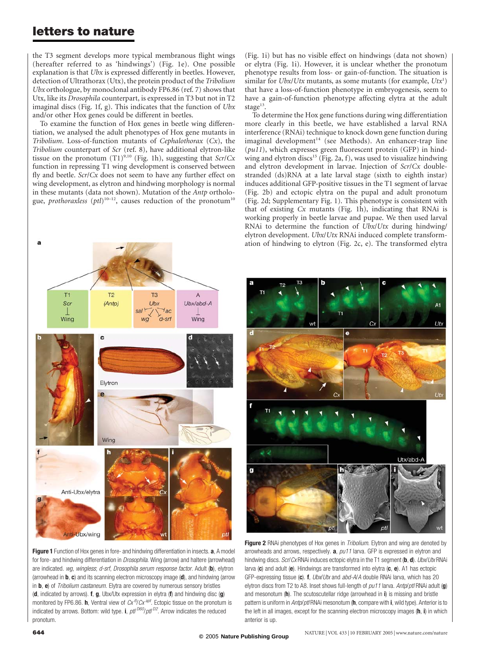the T3 segment develops more typical membranous flight wings (hereafter referred to as 'hindwings') (Fig. 1e). One possible explanation is that Ubx is expressed differently in beetles. However, detection of Ultrathorax (Utx), the protein product of the Tribolium Ubx orthologue, by monoclonal antibody FP6.86 (ref. 7) shows that Utx, like its Drosophila counterpart, is expressed in T3 but not in T2 imaginal discs (Fig. 1f, g). This indicates that the function of Ubx and/or other Hox genes could be different in beetles.

To examine the function of Hox genes in beetle wing differentiation, we analysed the adult phenotypes of Hox gene mutants in Tribolium. Loss-of-function mutants of Cephalothorax  $(Cx)$ , the Tribolium counterpart of Scr (ref. 8), have additional elytron-like tissue on the pronotum  $(T1)^{9,10}$  (Fig. 1h), suggesting that  $Scr/Cx$ function in repressing T1 wing development is conserved between fly and beetle. Scr/Cx does not seem to have any further effect on wing development, as elytron and hindwing morphology is normal in these mutants (data not shown). Mutation of the Antp orthologue, prothoraxless  $(ptl)^{10-12}$ , causes reduction of the pronotum<sup>10</sup>

(Fig. 1i) but has no visible effect on hindwings (data not shown) or elytra (Fig. 1i). However, it is unclear whether the pronotum phenotype results from loss- or gain-of-function. The situation is similar for  $Ubx/Utx$  mutants, as some mutants (for example,  $Utx<sup>1</sup>$ ) that have a loss-of-function phenotype in embryogenesis, seem to have a gain-of-function phenotype affecting elytra at the adult stage<sup>13</sup>.

To determine the Hox gene functions during wing differentiation more clearly in this beetle, we have established a larval RNA interference (RNAi) technique to knock down gene function during imaginal development<sup>14</sup> (see Methods). An enhancer-trap line (pu11), which expresses green fluorescent protein (GFP) in hindwing and elytron discs<sup>15</sup> (Fig. 2a, f), was used to visualize hindwing and elytron development in larvae. Injection of Scr/Cx doublestranded (ds)RNA at a late larval stage (sixth to eighth instar) induces additional GFP-positive tissues in the T1 segment of larvae (Fig. 2b) and ectopic elytra on the pupal and adult pronotum (Fig. 2d; Supplementary Fig. 1). This phenotype is consistent with that of existing  $Cx$  mutants (Fig. 1h), indicating that RNAi is working properly in beetle larvae and pupae. We then used larval RNAi to determine the function of Ubx/Utx during hindwing/ elytron development. Ubx/Utx RNAi induced complete transformation of hindwing to elytron (Fig. 2c, e). The transformed elytra





Figure 1 Function of Hox genes in fore- and hindwing differentiation in insects. a, A model for fore- and hindwing differentiation in *Drosophila*. Wing (arrow) and haltere (arrowhead) are indicated. wg, wingless; d-srf, Drosophila serum response factor. Adult (b), elytron (arrowhead in b, c) and its scanning electron microscopy image (d), and hindwing (arrow in  $\mathbf{b}$ ,  $\mathbf{e}$ ) of *Tribolium castaneum*. Elytra are covered by numerous sensory bristles (d, indicated by arrows). **f**, g, Ubx/Utx expression in elytra (f) and hindwing disc (g) monitored by FP6.86. **h**, Ventral view of  $Cx^{\delta}/Cx^{apt}$ . Ectopic tissue on the pronotum is indicated by arrows. Bottom: wild type. i,  $pt^{D60}/pt^{D2}$ . Arrow indicates the reduced pronotum.



я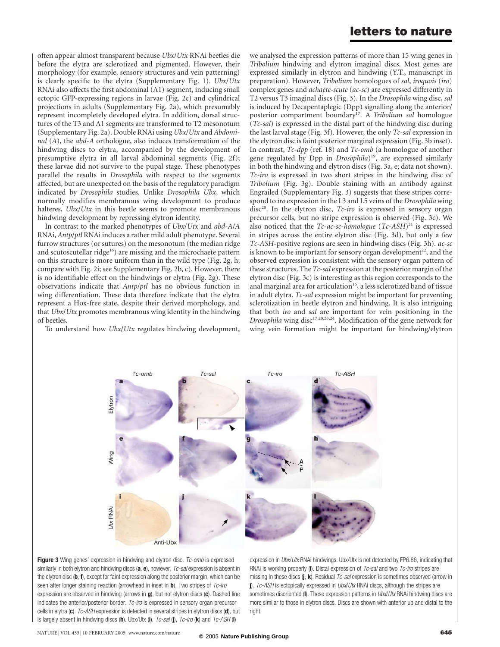often appear almost transparent because Ubx/Utx RNAi beetles die before the elytra are sclerotized and pigmented. However, their morphology (for example, sensory structures and vein patterning) is clearly specific to the elytra (Supplementary Fig. 1). Ubx/Utx RNAi also affects the first abdominal (A1) segment, inducing small ectopic GFP-expressing regions in larvae (Fig. 2c) and cylindrical projections in adults (Supplementary Fig. 2a), which presumably represent incompletely developed elytra. In addition, dorsal structures of the T3 and A1 segments are transformed to T2 mesonotum (Supplementary Fig. 2a). Double RNAi using Ubx/Utx and Abdominal  $(A)$ , the abd-A orthologue, also induces transformation of the hindwing discs to elytra, accompanied by the development of presumptive elytra in all larval abdominal segments (Fig. 2f); these larvae did not survive to the pupal stage. These phenotypes parallel the results in Drosophila with respect to the segments affected, but are unexpected on the basis of the regulatory paradigm indicated by Drosophila studies. Unlike Drosophila Ubx, which normally modifies membranous wing development to produce halteres, Ubx/Utx in this beetle seems to promote membranous hindwing development by repressing elytron identity.

In contrast to the marked phenotypes of Ubx/Utx and abd-A/A RNAi, Antp/ptl RNAi induces a rather mild adult phenotype. Several furrow structures (or sutures) on the mesonotum (the median ridge and scutoscutellar ridge $16$ ) are missing and the microchaete pattern on this structure is more uniform than in the wild type (Fig. 2g, h; compare with Fig. 2i; see Supplementary Fig. 2b, c). However, there is no identifiable effect on the hindwings or elytra (Fig. 2g). These observations indicate that Antp/ptl has no obvious function in wing differentiation. These data therefore indicate that the elytra represent a Hox-free state, despite their derived morphology, and that Ubx/Utx promotes membranous wing identity in the hindwing of beetles.

To understand how Ubx/Utx regulates hindwing development,

we analysed the expression patterns of more than 15 wing genes in Tribolium hindwing and elytron imaginal discs. Most genes are expressed similarly in elytron and hindwing (Y.T., manuscript in preparation). However, Tribolium homologues of sal, iroquois (iro) complex genes and achaete-scute (ac-sc) are expressed differently in T2 versus T3 imaginal discs (Fig. 3). In the Drosophila wing disc, sal is induced by Decapentaplegic (Dpp) signalling along the anterior/ posterior compartment boundary<sup>17</sup>. A Tribolium sal homologue (Tc-sal) is expressed in the distal part of the hindwing disc during the last larval stage (Fig. 3f). However, the only  $Tc$ -sal expression in the elytron disc is faint posterior marginal expression (Fig. 3b inset). In contrast, Tc-dpp (ref. 18) and Tc-omb (a homologue of another gene regulated by Dpp in Drosophila)<sup>19</sup>, are expressed similarly in both the hindwing and elytron discs (Fig. 3a, e; data not shown). Tc-iro is expressed in two short stripes in the hindwing disc of Tribolium (Fig. 3g). Double staining with an antibody against Engrailed (Supplementary Fig. 3) suggests that these stripes correspond to iro expression in the L3 and L5 veins of the Drosophila wing  $disc<sup>20</sup>$ . In the elytron disc, *Tc-iro* is expressed in sensory organ precursor cells, but no stripe expression is observed (Fig. 3c). We also noticed that the Tc-ac-sc-homologue (Tc-ASH)<sup>21</sup> is expressed in stripes across the entire elytron disc (Fig. 3d), but only a few Tc-ASH-positive regions are seen in hindwing discs (Fig. 3h). ac-sc is known to be important for sensory organ development<sup>22</sup>, and the observed expression is consistent with the sensory organ pattern of these structures. The  $Tc$ -sal expression at the posterior margin of the elytron disc (Fig. 3c) is interesting as this region corresponds to the anal marginal area for articulation<sup>16</sup>, a less sclerotized band of tissue in adult elytra. Tc-sal expression might be important for preventing sclerotization in beetle elytron and hindwing. It is also intriguing that both iro and sal are important for vein positioning in the Drosophila wing disc<sup>17,20,23,24</sup>. Modification of the gene network for wing vein formation might be important for hindwing/elytron



Figure 3 Wing genes' expression in hindwing and elytron disc. Tc-omb is expressed similarly in both elytron and hindwing discs  $(a, e)$ , however,  $Tc$ -sal expression is absent in the elytron disc (b, f), except for faint expression along the posterior margin, which can be seen after longer staining reaction (arrowhead in inset in **b**). Two stripes of Tc-iro expression are observed in hindwing (arrows in  $g$ ), but not elytron discs  $(c)$ . Dashed line indicates the anterior/posterior border. Tc-iro is expressed in sensory organ precursor cells in elytra (c). Tc-ASH expression is detected in several stripes in elytron discs (d), but is largely absent in hindwing discs (h). Ubx/Utx (i),  $Tc$ -sal (j),  $Tc$ -iro (k) and  $Tc$ -ASH (I)

expression in Ubx/Utx RNAi hindwings. Ubx/Utx is not detected by FP6.86, indicating that RNAi is working properly (i). Distal expression of Tc-sal and two Tc-iro stripes are missing in these discs  $(i, k)$ . Residual *Tc-sal* expression is sometimes observed (arrow in j). Tc-ASH is ectopically expressed in Ubx/Utx RNAi discs, although the stripes are sometimes disoriented (I). These expression patterns in Ubx/Utx RNAi hindwing discs are more similar to those in elytron discs. Discs are shown with anterior up and distal to the right.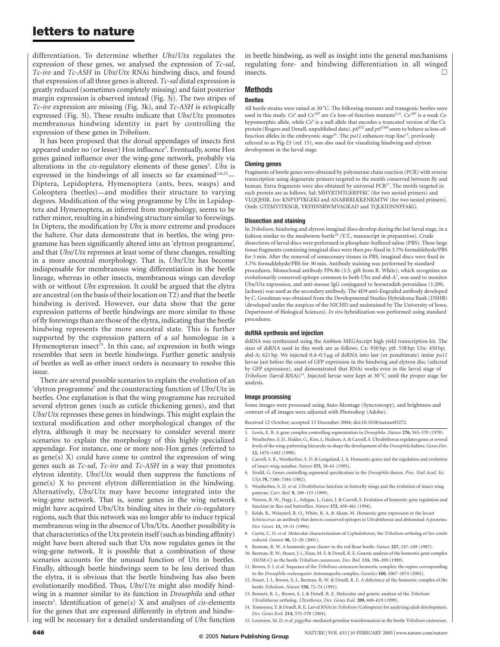differentiation. To determine whether Ubx/Utx regulates the expression of these genes, we analysed the expression of Tc-sal, Tc-iro and Tc-ASH in Ubx/Utx RNAi hindwing discs, and found that expression of all three genes is altered. Tc-sal distal expression is greatly reduced (sometimes completely missing) and faint posterior margin expression is observed instead (Fig. 3j). The two stripes of Tc-iro expression are missing (Fig. 3k), and Tc-ASH is ectopically expressed (Fig. 3l). These results indicate that Ubx/Utx promotes membranous hindwing identity in part by controlling the expression of these genes in Tribolium.

It has been proposed that the dorsal appendages of insects first appeared under no (or lesser) Hox influence<sup>3</sup>. Eventually, some Hox genes gained influence over the wing-gene network, probably via alterations in the cis-regulatory elements of these genes<sup>3</sup>. Ubx is expressed in the hindwings of all insects so far examined<sup>2,6,25</sup> $-$ Diptera, Lepidoptera, Hymenoptera (ants, bees, wasps) and Coleoptera (beetles)—and modifies their structure to varying degrees. Modification of the wing programme by Ubx in Lepidoptera and Hymenoptera, as inferred from morphology, seems to be rather minor, resulting in a hindwing structure similar to forewings. In Diptera, the modification by Ubx is more extreme and produces the haltere. Our data demonstrate that in beetles, the wing programme has been significantly altered into an 'elytron programme', and that Ubx/Utx represses at least some of these changes, resulting in a more ancestral morphology. That is, Ubx/Utx has become indispensable for membranous wing differentiation in the beetle lineage, whereas in other insects, membranous wings can develop with or without Ubx expression. It could be argued that the elytra are ancestral (on the basis of their location on T2) and that the beetle hindwing is derived. However, our data show that the gene expression patterns of beetle hindwings are more similar to those of fly forewings than are those of the elytra, indicating that the beetle hindwing represents the more ancestral state. This is further supported by the expression pattern of a *sal* homologue in a Hymenopteran insect<sup>25</sup>. In this case, *sal* expression in both wings resembles that seen in beetle hindwings. Further genetic analysis of beetles as well as other insect orders is necessary to resolve this issue.

There are several possible scenarios to explain the evolution of an 'elytron programme' and the counteracting function of Ubx/Utx in beetles. One explanation is that the wing programme has recruited several elytron genes (such as cuticle thickening genes), and that Ubx/Utx represses these genes in hindwings. This might explain the textural modification and other morphological changes of the elytra, although it may be necessary to consider several more scenarios to explain the morphology of this highly specialized appendage. For instance, one or more non-Hox genes (referred to as  $gene(s)$  X) could have come to control the expression of wing genes such as Tc-sal, Tc-iro and Tc-ASH in a way that promotes elytron identity. Ubx/Utx would then suppress the functions of gene(s) X to prevent elytron differentiation in the hindwing. Alternatively, Ubx/Utx may have become integrated into the wing-gene network. That is, some genes in the wing network might have acquired Ubx/Utx binding sites in their cis-regulatory regions, such that this network was no longer able to induce typical membranous wing in the absence of Ubx/Utx. Another possibility is that characteristics of the Utx protein itself (such as binding affinity) might have been altered such that Utx now regulates genes in the wing-gene network. It is possible that a combination of these scenarios accounts for the unusual function of Utx in beetles. Finally, although beetle hindwings seem to be less derived than the elytra, it is obvious that the beetle hindwing has also been evolutionarily modified. Thus, Ubx/Utx might also modify hindwing in a manner similar to its function in *Drosophila* and other insects<sup>2</sup>. Identification of gene(s) X and analyses of cis-elements for the genes that are expressed differently in elytron and hindwing will be necessary for a detailed understanding of Ubx function

in beetle hindwing, as well as insight into the general mechanisms regulating fore- and hindwing differentiation in all winged insects.  $\Box$ 

### Methods

### Beetles

All beetle strains were raised at 30 °C. The following mutants and transgenic beetles were used in this study.  $Cx^6$  and  $Cx^{apt}$  are Cx loss-of-function mutants<sup>9,10</sup>.  $Cx^{apt}$  is a weak Cx hypomorphic allele, while  $Cx^6$  is a null allele that encodes a truncated version of the Cx protein (Rogers and Denell, unpublished data).  $pt^{D2}$  and  $pt^{D60}$  seem to behave as loss-offunction alleles in the embryonic stage<sup>26</sup>. The  $p u 11$  enhancer-trap line<sup>15</sup>, previously referred to as Pig-23 (ref. 15), was also used for visualizing hindwing and elytron development in the larval stage.

### Cloning genes

Fragments of beetle genes were obtained by polymerase chain reaction (PCR) with reverse transcription using degenerate primers targeted to the motifs conserved between fly and human. Extra fragments were also obtained by universal PCR<sup>27</sup>. The motifs targeted in each protein are as follows. Sal: MHYRTHTGERPFKC (for two nested primers) and VLQQHIR. Iro: KNPYPTKGEKI and ANARRRLKKENKMTW (for two nested primers). Omb: GTEMVITKSGR, YKFHNSRWMVAGKAD and TQLKIDNNPFAKG.

### Dissection and staining

In Tribolium, hindwing and elytron imaginal discs develop during the last larval stage, in a fashion similar to the mealworm beetle<sup>28</sup> (Y.T., manuscript in preparation). Crude dissections of larval discs were performed in phosphate-buffered saline (PBS). These large tissue fragments containing imaginal discs were then pre-fixed in 3.7% formaldehyde/PBS for 5 min. After the removal of unnecessary tissues in PBS, imaginal discs were fixed in 3.7% formaldehyde/PBS for 30 min. Antibody staining was performed by standard procedures. Monoclonal antibody FP6.86 (1:5, gift from R. White), which recognizes an evolutionarily conserved epitope common to both Ubx and abd-A<sup>7</sup>, was used to monitor Ubx/Utx expression, and anti-mouse IgG conjugated to horseradish peroxidase (1:200, Jackson) was used as the secondary antibody. The 4D9 anti-Engrailed antibody developed by C. Goodman was obtained from the Developmental Studies Hybridoma Bank (DSHB) (developed under the auspices of the NICHD and maintained by The University of Iowa, Department of Biological Sciences). In situ hybridization was performed using standard procedures.

#### dsRNA synthesis and injection

dsRNA was synthesized using the Ambion MEGAscript high yield transcription kit. The sizes of dsRNA used in this work are as follows. Cx: 930 bp; ptl: 538 bp; Utx: 450 bp; abd-A: 621 bp. We injected 0.4-0.5  $\mu$ g of dsRNA into last (or penultimate) instar pu11 larvae just before the onset of GFP expression in the hindwing and elytron disc (selected by GFP expression), and demonstrated that RNAi works even in the larval stage of Tribolium (larval RNAi)<sup>14</sup>. Injected larvae were kept at 30 °C until the proper stage for analysis.

#### Image processing

Some images were processed using Auto-Montage (Syncroscopy), and brightness and contrast of all images were adjusted with Photoshop (Adobe).

Received 12 October; accepted 13 December 2004; doi:10.1038/nature03272.

- 1. Lewis, E. B. A gene complex controlling segmentation in Drosophila. Nature 276, 565–570 (1978).
- 2. Weatherbee, S. D., Halder, G., Kim, J., Hudson, A. & Carroll, S. Ultrabithorax regulates genes at several levels of the wing-patterning hierarchy to shape the development of the Drosophila haltere. Genes Dev.
- 12, 1474–1482 (1998). 3. Carroll, S. B., Weatherbee, S. D. & Langeland, J. A. Homeotic genes and the regulation and evolution of insect wing number. Nature 375, 58–61 (1995).
- 4. Struhl, G. Genes controlling segmental specification in the Drosophila thorax. Proc. Natl Acad. Sci. USA 79, 7380–7384 (1982).
- 5. Weatherbee, S. D. et al. Ultrabithorax function in butterfly wings and the evolution of insect wing patterns. Curr. Biol. 9, 109–115 (1999).
- 6. Warren, R. W., Nagy, L., Selegue, J., Gates, J. & Carroll, S. Evolution of homeotic gene regulation and function in flies and butterflies. Nature 372, 458–461 (1994).
- 7. Kelsh, R., Weinzierl, R. O., White, R. A. & Akam, M. Homeotic gene expression in the locust Schistocerca: an antibody that detects conserved epitopes in Ultrabithorax and abdominal-A proteins. Dev. Genet. 15, 19–31 (1994).
- 8. Curtis, C. D. et al. Molecular characterization of Cephalothorax, the Tribolium ortholog of Sex combs reduced. Genesis 30, 12–20 (2001).
- 9. Beeman, R. W. A homeotic gene cluster in the red flour beetle. Nature 327, 247–249 (1987).
- 10. Beeman, R. W., Stuart, J. J., Haas, M. S. & Denell, R. E. Genetic analysis of the homeotic gene complex (HOM-C) in the beetle Tribolium castaneum. Dev. Biol. 133, 196–209 (1989).
- 11. Brown, S. J. et al. Sequence of the Tribolium castaneum homeotic complex: the region corresponding to the Drosophila melanogaster Antennapedia complex. Genetics 160, 1067–1074 (2002).
- 12. Stuart, J. J., Brown, S. J., Beeman, R. W. & Denell, R. E. A deficiency of the homeotic complex of the beetle Tribolium. Nature 350, 72–74 (1991).
- 13. Bennett, R. L., Brown, S. J. & Denell, R. E. Molecular and genetic analysis of the Tribolium
- Ultrabithorax ortholog, Ultrathorax. Dev. Genes Evol. 209, 608–619 (1999).
- 14. Tomoyasu, Y. & Denell, R. E. Larval RNAi in Tribolium (Coleoptera) for analyzing adult development. Dev. Genes Evol. 214, 575–578 (2004).
- 15. Lorenzen, M. D. et al. piggyBac-mediated germline transformation in the beetle Tribolium castaneum